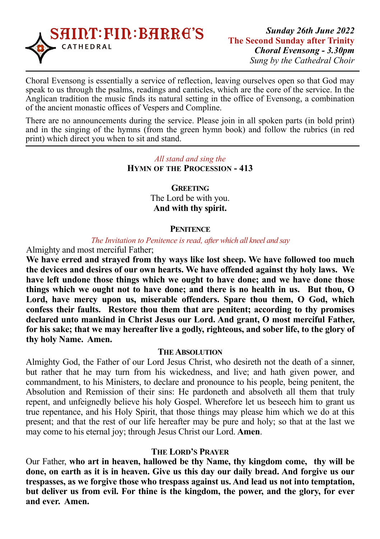

Choral Evensong is essentially a service of reflection, leaving ourselves open so that God may speak to us through the psalms, readings and canticles, which are the core of the service. In the Anglican tradition the music finds its natural setting in the office of Evensong, a combination of the ancient monastic offices of Vespers and Compline.

There are no announcements during the service. Please join in all spoken parts (in bold print) and in the singing of the hymns (from the green hymn book) and follow the rubrics (in red print) which direct you when to sit and stand.

#### *All stand and sing the*  **HYMN OF THE PROCESSION - 413**

**GREETING** The Lord be with you. **And with thy spirit.**

#### **PENITENCE**

#### *The Invitation to Penitence is read, after which all kneel and say*

Almighty and most merciful Father;

**We have erred and strayed from thy ways like lost sheep. We have followed too much the devices and desires of our own hearts. We have offended against thy holy laws. We have left undone those things which we ought to have done; and we have done those things which we ought not to have done; and there is no health in us. But thou, O Lord, have mercy upon us, miserable offenders. Spare thou them, O God, which confess their faults. Restore thou them that are penitent; according to thy promises declared unto mankind in Christ Jesus our Lord. And grant, O most merciful Father, for his sake; that we may hereafter live a godly, righteous, and sober life, to the glory of thy holy Name. Amen.** 

#### **THE ABSOLUTION**

Almighty God, the Father of our Lord Jesus Christ, who desireth not the death of a sinner, but rather that he may turn from his wickedness, and live; and hath given power, and commandment, to his Ministers, to declare and pronounce to his people, being penitent, the Absolution and Remission of their sins: He pardoneth and absolveth all them that truly repent, and unfeignedly believe his holy Gospel. Wherefore let us beseech him to grant us true repentance, and his Holy Spirit, that those things may please him which we do at this present; and that the rest of our life hereafter may be pure and holy; so that at the last we may come to his eternal joy; through Jesus Christ our Lord. **Amen**.

#### **THE LORD'S PRAYER**

Our Father, **who art in heaven, hallowed be thy Name, thy kingdom come, thy will be done, on earth as it is in heaven. Give us this day our daily bread. And forgive us our trespasses, as we forgive those who trespass against us. And lead us not into temptation, but deliver us from evil. For thine is the kingdom, the power, and the glory, for ever and ever. Amen.**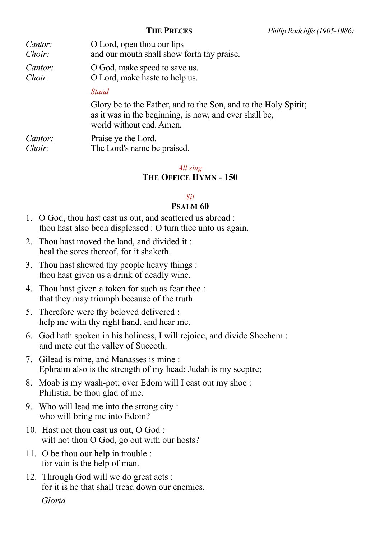| Cantor: | O Lord, open thou our lips                                                                                                                            |
|---------|-------------------------------------------------------------------------------------------------------------------------------------------------------|
| Choir:  | and our mouth shall show forth thy praise.                                                                                                            |
| Cantor: | O God, make speed to save us.                                                                                                                         |
| Choir:  | O Lord, make haste to help us.                                                                                                                        |
|         | <b>Stand</b>                                                                                                                                          |
|         | Glory be to the Father, and to the Son, and to the Holy Spirit;<br>as it was in the beginning, is now, and ever shall be,<br>world without end. Amen. |
| Cantor: | Praise ye the Lord.                                                                                                                                   |
| Choir:  | The Lord's name be praised.                                                                                                                           |

#### *All sing*  **THE OFFICE HYMN - 150**

#### *Sit*

#### **PSALM 60**

- 1. O God, thou hast cast us out, and scattered us abroad : thou hast also been displeased : O turn thee unto us again.
- 2. Thou hast moved the land, and divided it : heal the sores thereof, for it shaketh.
- 3. Thou hast shewed thy people heavy things : thou hast given us a drink of deadly wine.
- 4. Thou hast given a token for such as fear thee : that they may triumph because of the truth.
- 5. Therefore were thy beloved delivered : help me with thy right hand, and hear me.
- 6. God hath spoken in his holiness, I will rejoice, and divide Shechem : and mete out the valley of Succoth.
- 7. Gilead is mine, and Manasses is mine : Ephraim also is the strength of my head; Judah is my sceptre;
- 8. Moab is my wash-pot; over Edom will I cast out my shoe : Philistia, be thou glad of me.
- 9. Who will lead me into the strong city : who will bring me into Edom?
- 10. Hast not thou cast us out, O God : wilt not thou O God, go out with our hosts?
- 11. O be thou our help in trouble : for vain is the help of man.
- 12. Through God will we do great acts : for it is he that shall tread down our enemies.

 *Gloria*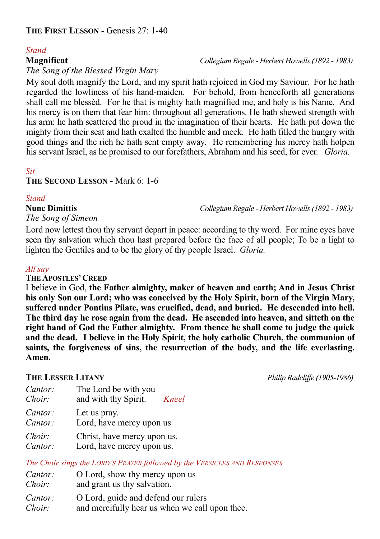# *Stand*

### *The Song of the Blessed Virgin Mary*

My soul doth magnify the Lord, and my spirit hath rejoiced in God my Saviour. For he hath regarded the lowliness of his hand-maiden. For behold, from henceforth all generations shall call me blessèd. For he that is mighty hath magnified me, and holy is his Name. And his mercy is on them that fear him: throughout all generations. He hath shewed strength with his arm: he hath scattered the proud in the imagination of their hearts. He hath put down the mighty from their seat and hath exalted the humble and meek. He hath filled the hungry with good things and the rich he hath sent empty away. He remembering his mercy hath holpen his servant Israel, as he promised to our forefathers, Abraham and his seed, for ever. *Gloria.* 

## *Sit*

#### **THE SECOND LESSON -** Mark 6: 1-6

#### *Stand*

*The Song of Simeon* 

Lord now lettest thou thy servant depart in peace: according to thy word. For mine eyes have seen thy salvation which thou hast prepared before the face of all people; To be a light to lighten the Gentiles and to be the glory of thy people Israel. *Gloria.* 

### *All say*

#### **THE APOSTLES' CREED**

I believe in God, **the Father almighty, maker of heaven and earth; And in Jesus Christ his only Son our Lord; who was conceived by the Holy Spirit, born of the Virgin Mary, suffered under Pontius Pilate, was crucified, dead, and buried. He descended into hell. The third day he rose again from the dead. He ascended into heaven, and sitteth on the right hand of God the Father almighty. From thence he shall come to judge the quick and the dead. I believe in the Holy Spirit, the holy catholic Church, the communion of saints, the forgiveness of sins, the resurrection of the body, and the life everlasting. Amen.** 

**THE LESSER LITANY** *Philip Radcliffe (1905-1986)*

| Cantor:<br>Choir: | The Lord be with you<br>and with thy Spirit.<br>Kneel |
|-------------------|-------------------------------------------------------|
| Cantor:           | Let us pray.                                          |
| Cantor:           | Lord, have mercy upon us                              |
| Choir:            | Christ, have mercy upon us.                           |
| Cantor:           | Lord, have mercy upon us.                             |

*The Choir sings the LORD'S PRAYER followed by the VERSICLES AND RESPONSES*

| Cantor:<br>Choir: | O Lord, show thy mercy upon us<br>and grant us thy salvation. |
|-------------------|---------------------------------------------------------------|
| <i>Cantor:</i>    | O Lord, guide and defend our rulers                           |
| Choir:            | and mercifully hear us when we call upon thee.                |

## **Magnificat** *Collegium Regale - Herbert Howells (1892 - 1983)*

**Nunc Dimittis** *Collegium Regale - Herbert Howells (1892 - 1983)*